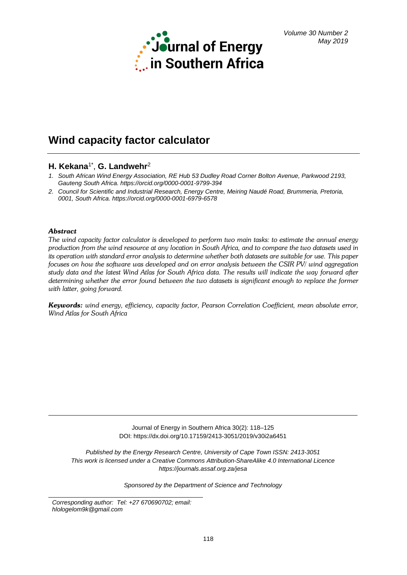

# **Wind capacity factor calculator**

# **H. Kekana**1\*, **G. Landwehr**<sup>2</sup>

- *1. South African Wind Energy Association, RE Hub 53 Dudley Road Corner Bolton Avenue, Parkwood 2193, Gauteng South Africa.<https://orcid.org/0000-0001-9799-394>*
- *2. Council for Scientific and Industrial Research, Energy Centre, Meiring Naudé Road, Brummeria, Pretoria, 0001, South Africa.<https://orcid.org/0000-0001-6979-6578>*

# *Abstract*

*The wind capacity factor calculator is developed to perform two main tasks: to estimate the annual energy production from the wind resource at any location in South Africa, and to compare the two datasets used in its operation with standard error analysis to determine whether both datasets are suitable for use. This paper focuses on how the software was developed and on error analysis between the CSIR PV/ wind aggregation study data and the latest Wind Atlas for South Africa data. The results will indicate the way forward after determining whether the error found between the two datasets is significant enough to replace the former with latter, going forward.*

*Keywords: wind energy, efficiency, capacity factor, Pearson Correlation Coefficient, mean absolute error, Wind Atlas for South Africa*

> Journal of Energy in Southern Africa 30(2): 118–125 DOI: https://dx.doi.org/10.17159/2413-3051/2019/v30i2a6451

*Published by the Energy Research Centre, University of Cape Town ISSN: 2413-3051 This work is licensed under a Creative Commons Attribution-ShareAlike 4.0 International Licence https://journals.assaf.org.za/jesa*

*Sponsored by the Department of Science and Technology*

*Corresponding author: Tel: +27 670690702; email: hlologelom9k@gmail.com*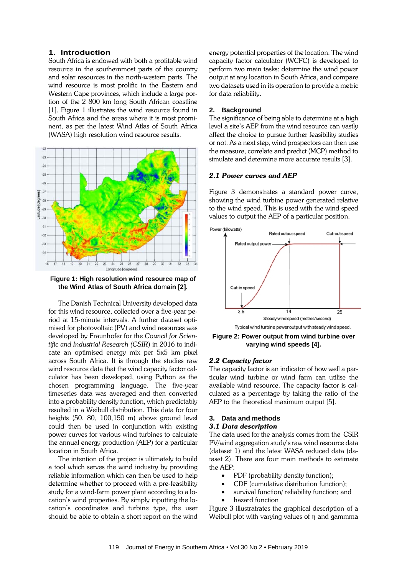# **1. Introduction**

South Africa is endowed with both a profitable wind resource in the southernmost parts of the country and solar resources in the north-western parts. The wind resource is most prolific in the Eastern and Western Cape provinces, which include a large portion of the 2 800 km long South African coastline [1]. Figure 1 illustrates the wind resource found in South Africa and the areas where it is most prominent, as per the latest Wind Atlas of South Africa (WASA) high resolution wind resource results.



**Figure 1: High resolution wind resource map of the Wind Atlas of South Africa do**m**ain [2].**

The Danish Technical University developed data for this wind resource, collected over a five-year period at 15-minute intervals. A further dataset optimised for photovoltaic (PV) and wind resources was developed by Fraunhofer for the *Council for Scientific and Industrial Research (CSIR*) in 2016 to indicate an optimised energy mix per 5x5 km pixel across South Africa. It is through the studies raw wind resource data that the wind capacity factor calculator has been developed, using Python as the chosen programming language. The five-year timeseries data was averaged and then converted into a probability density function, which predictably resulted in a Weibull distribution. This data for four heights (50, 80, 100,150 m) above ground level could then be used in conjunction with existing power curves for various wind turbines to calculate the annual energy production (AEP) for a particular location in South Africa.

The intention of the project is ultimately to build a tool which serves the wind industry by providing reliable information which can then be used to help determine whether to proceed with a pre-feasibility study for a wind-farm power plant according to a location's wind properties. By simply inputting the location's coordinates and turbine type, the user should be able to obtain a short report on the wind energy potential properties of the location. The wind capacity factor calculator (WCFC) is developed to perform two main tasks: determine the wind power output at any location in South Africa, and compare two datasets used in its operation to provide a metric for data reliability.

### **2. Background**

The significance of being able to determine at a high level a site's AEP from the wind resource can vastly affect the choice to pursue further feasibility studies or not. As a next step, wind prospectors can then use the measure, correlate and predict (MCP) method to simulate and determine more accurate results [3].

# *2.1 Power curves and AEP*

Figure 3 demonstrates a standard power curve, showing the wind turbine power generated relative to the wind speed. This is used with the wind speed values to output the AEP of a particular position.



**Figure 2: Power output from wind turbine over varying wind speeds [4]***.*

#### *2.2 Capacity factor*

The capacity factor is an indicator of how well a particular wind turbine or wind farm can utilise the available wind resource. The capacity factor is calculated as a percentage by taking the ratio of the AEP to the theoretical maximum output [5].

#### **3. Data and methods**

#### *3.1 Data description*

The data used for the analysis comes from the CSIR PV/wind aggregation study's raw wind resource data (dataset 1) and the latest WASA reduced data (dataset 2). There are four main methods to estimate the AEP:

- PDF (probability density function);
- CDF (cumulative distribution function);
- survival function/ reliability function; and
- hazard function

Figure 3 illustratrates the graphical description of a Weibull plot with varying values of η and gammma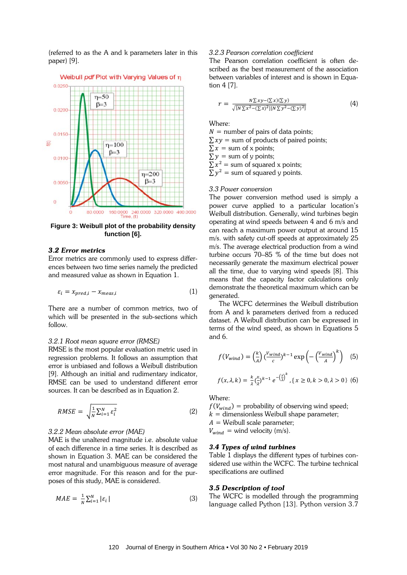(referred to as the A and k parameters later in this paper) [9].



**Figure 3: Weibull plot of the probability density function [6].**

#### *3.2 Error metrics*

Error metrics are commonly used to express differences between two time series namely the predicted and measured value as shown in Equation 1.

$$
\varepsilon_i = x_{pred,i} - x_{meas,i} \tag{1}
$$

There are a number of common metrics, two of which will be presented in the sub-sections which follow.

#### *3.2.1 Root mean square error (RMSE)*

RMSE is the most popular evaluation metric used in regression problems. It follows an assumption that error is unbiased and follows a Weibull distribution [9]. Although an initial and rudimentary indicator, RMSE can be used to understand different error sources. It can be described as in Equation 2.

$$
RMSE = \sqrt{\frac{1}{N} \sum_{i=1}^{N} \varepsilon_i^2}
$$
 (2)

# *3.2.2 Mean absolute error (MAE)*

MAE is the unaltered magnitude i.e. absolute value of each difference in a time series. It is described as shown in Equation 3. MAE can be considered the most natural and unambiguous measure of average error magnitude. For this reason and for the purposes of this study, MAE is considered.

$$
MAE = \frac{1}{N} \sum_{i=1}^{N} |\varepsilon_i| \tag{3}
$$

# *3.2.3 Pearson correlation coefficient*

The Pearson correlation coefficient is often described as the best measurement of the association between variables of interest and is shown in Equation 4 [7].

$$
r = \frac{N \sum xy - (\sum x)(\sum y)}{\sqrt{[N \sum x^2 - (\sum x)^2][N \sum y^2 - (\sum y)^2]}}
$$
(4)

Where:

 $N =$  number of pairs of data points;  $\sum xy$  = sum of products of paired points;  $\sum x =$  sum of x points;  $\sum y =$  sum of y points;  $\sum x^2$  = sum of squared x points;  $\sum y^2$  = sum of squared y points.

# *3.3 Power conversion*

The power conversion method used is simply a power curve applied to a particular location's Weibull distribution. Generally, wind turbines begin operating at wind speeds between 4 and 6 m/s and can reach a maximum power output at around 15 m/s. with safety cut-off speeds at approximately 25 m/s. The average electrical production from a wind turbine occurs 70–85 % of the time but does not necessarily generate the maximum electrical power all the time, due to varying wind speeds [8]. This means that the capacity factor calculations only demonstrate the theoretical maximum which can be generated.

The WCFC determines the Weibull distribution from A and k parameters derived from a reduced dataset. A Weibull distribution can be expressed in terms of the wind speed, as shown in Equations 5 and 6.

$$
f(V_{wind}) = \left(\frac{k}{A}\right) \left(\frac{V_{wind}}{c}\right)^{k-1} \exp\left(-\left(\frac{V_{wind}}{A}\right)^k\right) \quad (5)
$$

$$
f(x, \lambda, k) = \frac{k}{\lambda} \left(\frac{x}{\lambda}\right)^{k-1} e^{-\left(\frac{x}{\lambda}\right)^k}, \{x \ge 0, k > 0, \lambda > 0\} \quad (6)
$$

Where:

 $f(V_{wind})$  = probability of observing wind speed;  $k =$  dimensionless Weibull shape parameter;  $A =$  Weibull scale parameter;  $V_{wind}$  = wind velocity (m/s).

#### *3.4 Types of wind turbines*

Table 1 displays the different types of turbines considered use within the WCFC. The turbine technical specifications are outlined

### *3.5 Description of tool*

The WCFC is modelled through the programming language called Python [13]. Python version 3.7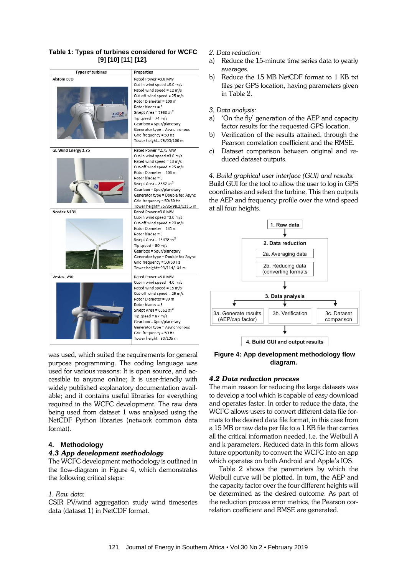#### **Types of turbines Properties** Alstom ECO Rated Power = 3.0 MW Cut-in wind speed =3.0 m/s Rated wind speed = 12 m/s Cut-off wind speed = 25 m/s Rotor Diameter = 100 m Rotor blades = 3 Swept Area = 7980  $m^2$ **ALSTOM** Tin sneed = 74 m/s Gear box = Spur/planetary Generator type = Asynchronous Grid frequency = 50 Hz Tower height= 75/90/100 m **GE Wind Energy 2.75** Rated Power = 2.75 MW Cut-in wind speed =3.0 m/s Rated wind speed = 13 m/s Cut-off wind speed = 25 m/s Rotor Diameter = 103 m Rotor blades =  $3$ Swept Area =  $8332 m<sup>2</sup>$ Gear box = Spur/planetary Generator type = Double fed Async Grid frequency = 50/60 Hz Tower height= 75/85/98.3/123.5 m Nordex N131 Rated Power = 3.0 MW Cut-in wind speed =3.0 m/s Cut-off wind speed = 20 m/s Rotor Diameter = 131 m Rotor blades = 3 Swept Area = 13478  $m^2$ Tip speed =  $80 \text{ m/s}$ Gear box = Spur/planetary Generator type = Double fed Async Grid frequency = 50/60 Hz Tower height= 99/114/134 m Vestas V90 Rated Power = 3.0 MW Cut-in wind speed =4.0 m/s Rated wind speed = 15 m/s Cut-off wind speed = 25 m/s Rotor Diameter = 90 m Rotor blades = 3 Swept Area = 6362  $m^2$ Tip speed = 87 m/s Gear box = Spur/planetary Generator type = Asynchronous Grid frequency = 50 Hz Tower height= 80/105 m

**Table 1: Types of turbines considered for WCFC [9] [10] [11] [12].**

was used, which suited the requirements for general purpose programming. The coding language was used for various reasons: It is open source, and accessible to anyone online; It is user-friendly with widely published explanatory documentation available; and it contains useful libraries for everything required in the WCFC development. The raw data being used from dataset 1 was analysed using the NetCDF Python libraries (network common data format).

# **4. Methodology**

# *4.3 App development methodology*

The WCFC development methodology is outlined in the flow-diagram in Figure 4, which demonstrates the following critical steps:

# *1. Raw data:*

CSIR PV/wind aggregation study wind timeseries data (dataset 1) in NetCDF format.

# *2. Data reduction:*

- a) Reduce the 15-minute time series data to yearly averages.
- b) Reduce the 15 MB NetCDF format to 1 KB txt files per GPS location, having parameters given in Table 2.
- *3. Data analysis:*
- a) 'On the fly' generation of the AEP and capacity factor results for the requested GPS location.
- b) Verification of the results attained, through the Pearson correlation coefficient and the RMSE.
- c) Dataset comparison between original and reduced dataset outputs.

*4. Build graphical user interface (GUI) and results:* Build GUI for the tool to allow the user to log in GPS coordinates and select the turbine. This then outputs the AEP and frequency profile over the wind speed at all four heights.



**Figure 4: App development methodology flow diagram.**

#### *4.2 Data reduction process*

The main reason for reducing the large datasets was to develop a tool which is capable of easy download and operates faster. In order to reduce the data, the WCFC allows users to convert different data file formats to the desired data file format, in this case from a 15 MB or raw data per file to a 1 KB file that carries all the critical information needed, i.e. the Weibull A and k parameters. Reduced data in this form allows future opportunity to convert the WCFC into an app which operates on both Android and Apple's IOS.

Table 2 shows the parameters by which the Weibull curve will be plotted. In turn, the AEP and the capacity factor over the four different heights will be determined as the desired outcome. As part of the reduction process error metrics, the Pearson correlation coefficient and RMSE are generated.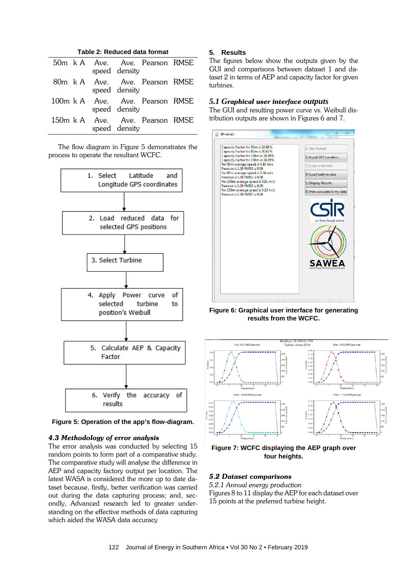| Table 2: Reduced data format |  |  |               |                                 |  |
|------------------------------|--|--|---------------|---------------------------------|--|
|                              |  |  | speed density | 50m k A Ave. Ave. Pearson RMSE  |  |
|                              |  |  | speed density | 80m k A Ave. Ave. Pearson RMSE  |  |
|                              |  |  | speed density | 100m k A Ave. Ave. Pearson RMSE |  |
|                              |  |  | speed density | 150m k A Ave. Ave. Pearson RMSE |  |

The flow diagram in Figure 5 demonstrates the process to operate the resultant WCFC.



**Figure 5: Operation of the app's flow-diagram.**

# *4.3 Methodology of error analysis*

The error analysis was conducted by selecting 15 random points to form part of a comparative study. The comparative study will analyse the difference in AEP and capacity factory output per location. The latest WASA is considered the more up to date dataset because, firstly, better verification was carried out during the data capturing process; and, secondly, Advanced research led to greater understanding on the effective methods of data capturing which aided the WASA data accuracy

# **5. Results**

The figures below show the outputs given by the GUI and comparisons between dataset 1 and dataset 2 in terms of AEP and capacity factor for given turbines.

# *5.1 Graphical user interface outputs*

The GUI and resulting power curve vs. Weibull distribution outputs are shown in Figures 6 and 7.



**Figure 6: Graphical user interface for generating results from the WCFC.**



**Figure 7: WCFC displaying the AEP graph over four heights.**

# *5.2 Dataset comparisons*

*5.2.1 Annual energy production* Figures 8 to 11 display the AEP for each dataset over 15 points at the preferred turbine height.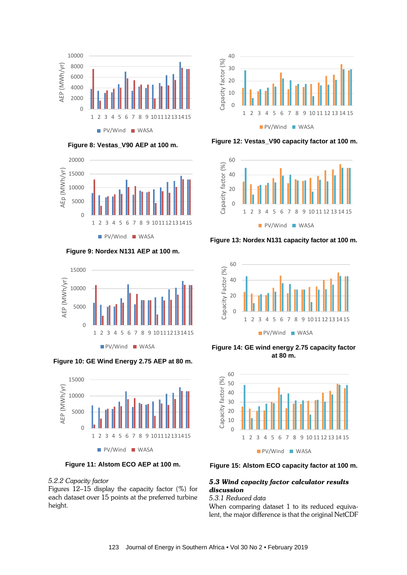

**Figure 8: Vestas\_V90 AEP at 100 m.**



**Figure 9: Nordex N131 AEP at 100 m.**



**Figure 10: GE Wind Energy 2.75 AEP at 80 m.**



**Figure 11: Alstom ECO AEP at 100 m.**

# *5.2.2 Capacity factor*

Figures 12–15 display the capacity factor (%) for each dataset over 15 points at the preferred turbine height.



**Figure 12: Vestas\_V90 capacity factor at 100 m.**



**Figure 13: Nordex N131 capacity factor at 100 m.**



**Figure 14: GE wind energy 2.75 capacity factor at 80 m.**



**Figure 15: Alstom ECO capacity factor at 100 m.**

# *5.3 Wind capacity factor calculator results discussion*

# *5.3.1 Reduced data*

When comparing dataset 1 to its reduced equivalent, the major difference is that the original NetCDF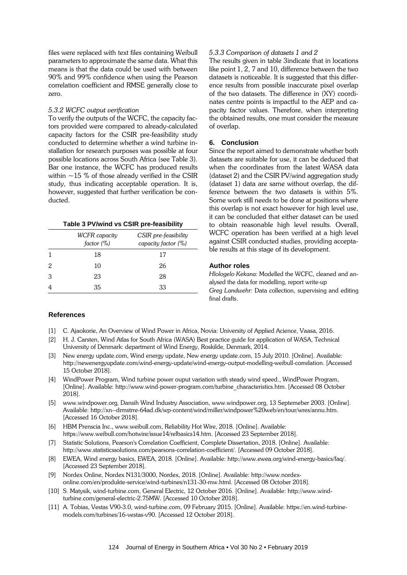files were replaced with text files containing Weibull parameters to approximate the same data. What this means is that the data could be used with between 90% and 99% confidence when using the Pearson correlation coefficient and RMSE generally close to zero.

# *5.3.2 WCFC output verification*

To verify the outputs of the WCFC, the capacity factors provided were compared to already-calculated capacity factors for the CSIR pre-feasibility study conducted to determine whether a wind turbine installation for research purposes was possible at four possible locations across South Africa (see Table 3). Bar one instance, the WCFC has produced results within  $\sim$  15 % of those already verified in the CSIR study, thus indicating acceptable operation. It is, however, suggested that further verification be conducted.

#### **Table 3 PV/wind vs CSIR pre-feasibility**

|   | <b>WCFR</b> capacity<br>factor (%) | CSIR pre-feasibility<br>capacity factor $(\%)$ |
|---|------------------------------------|------------------------------------------------|
|   | 18                                 | 17                                             |
| 2 | 10                                 | 26                                             |
| З | 23                                 | 28                                             |
|   | 35                                 | 33                                             |

#### *5.3.3 Comparison of datasets 1 and 2*

The results given in table 3indicate that in locations like point 1, 2, 7 and 10, difference between the two datasets is noticeable. It is suggested that this difference results from possible inaccurate pixel overlap of the two datasets. The difference in (XY) coordinates centre points is impactful to the AEP and capacity factor values. Therefore, when interpreting the obtained results, one must consider the measure of overlap.

# **6. Conclusion**

Since the report aimed to demonstrate whether both datasets are suitable for use, it can be deduced that when the coordinates from the latest WASA data (dataset 2) and the CSIR PV/wind aggregation study (dataset 1) data are same without overlap, the difference between the two datasets is within 5%. Some work still needs to be done at positions where this overlap is not exact however for high level use, it can be concluded that either dataset can be used to obtain reasonable high level results. Overall, WCFC operation has been verified at a high level against CSIR conducted studies, providing acceptable results at this stage of its development.

#### **Author roles**

*Hlologelo Kekana*: Modelled the WCFC, cleaned and analysed the data for modelling, report write-up *Greg Landwehr:* Data collection, supervising and editing final drafts.

#### **References**

- [1] C. Ajaokorie, An Overview of Wind Power in Africa, Novia: University of Applied Acience, Vaasa, 2016.
- [2] H. J. Carsten, Wind Atlas for South Africa (WASA) Best practice guide for application of WASA, Technical University of Denmark: department of Wind Energy, Roskilde, Denmark, 2014.
- [3] New energy update.com, Wind energy update, New energy update.com, 15 July 2010. [Online]. Available: http://newenergyupdate.com/wind-energy-update/wind-energy-output-modelling-weibull-correlation. [Accessed 15 October 2018].
- [4] WindPower Program, Wind turbine power ouput variation with steady wind speed., WindPower Program, [Online]. Available: http://www.wind-power-program.com/turbine\_characteristics.htm. [Accessed 08 October 2018].
- [5] www.windpower.org, Dansih Wind Industry Association, www.windpower.org, 13 Septemeber 2003. [Online]. Available: http://xn--drmstrre-64ad.dk/wp-content/wind/miller/windpower%20web/en/tour/wres/annu.htm. [Accessed 16 October 2018].
- [6] HBM Prenscia Inc., www.weibull.com, Reliability Hot Wire, 2018. [Online]. Available: https://www.weibull.com/hotwire/issue14/relbasics14.htm. [Accessed 23 September 2018].
- [7] Statistic Solutions, Pearson's Correlation Coefficient, Complete Dissertation, 2018. [Online]. Available: http://www.statisticssolutions.com/pearsons-correlation-coefficient/. [Accessed 09 October 2018].
- [8] EWEA, Wind energy basics, EWEA, 2018. [Online]. Available: http://www.ewea.org/wind-energy-basics/faq/. [Accessed 23 September 2018].
- [9] Nordex Online, Nordex N131/3000, Nordex, 2018. [Online]. Available: http://www.nordexonline.com/en/produkte-service/wind-turbines/n131-30-mw.html. [Accessed 08 October 2018].
- [10] S. Matysik, wind-turbine.com, General Electric, 12 October 2016. [Online]. Available: http://www.windturbine.com/general-electric-2.75MW. [Accessed 10 October 2018].
- [11] A. Tobias, Vestas V90-3.0, wind-turbine.com, 09 February 2015. [Online]. Available: https://en.wind-turbinemodels.com/turbines/16-vestas-v90. [Accessed 12 October 2018].